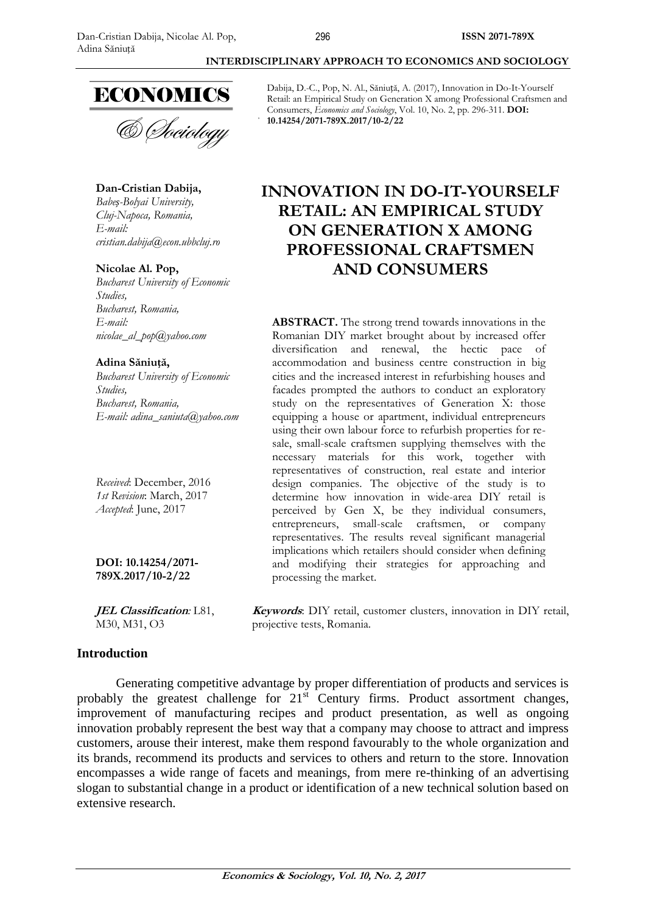# **ECONOMICS**

## **Dan-Cristian Dabija,**

*Cluj-Napoca, Romania, E-mail: [cristian.dabija@econ.ubbcluj.ro](mailto:cristian.dabija@econ.ubbcluj.ro)*

## **Nicolae Al. Pop,**

*Bucharest University of Economic Studies, Bucharest, Romania, E-mail: [nicolae\\_al\\_pop@yahoo.com](mailto:nicolae_al_pop@yahoo.com)*

### **Adina Săniuță,**

*Bucharest University of Economic Studies, Bucharest, Romania, E-mail: [adina\\_saniuta@yahoo.com](mailto:adina_saniuta@yahoo.com)*

*Received*: December, 2016 *1st Revision*: March, 2017 *Accepted*: June, 2017

**DOI: 10.14254/2071- 789X.2017/10-2/22**

**JEL Classification***:* L81, M30, M31, O3

## **Introduction**

Generating competitive advantage by proper differentiation of products and services is probably the greatest challenge for 21<sup>st</sup> Century firms. Product assortment changes, improvement of manufacturing recipes and product presentation, as well as ongoing innovation probably represent the best way that a company may choose to attract and impress customers, arouse their interest, make them respond favourably to the whole organization and its brands, recommend its products and services to others and return to the store. Innovation encompasses a wide range of facets and meanings, from mere re-thinking of an advertising slogan to substantial change in a product or identification of a new technical solution based on extensive research.

Dabija, D.-C., Pop, N. Al., Săniuță, A. (2017), Innovation in Do-It-Yourself Retail: an Empirical Study on Generation X among Professional Craftsmen and Consumers, *Economics and Sociology*, Vol. 10, No. 2, pp. 296-311. **DOI: 10.14254/2071-789X.2017/10-2/22**

**INTERDISCIPLINARY APPROACH TO ECONOMICS AND SOCIOLOGY**

## **INNOVATION IN DO-IT-YOURSELF RETAIL: AN EMPIRICAL STUDY ON GENERATION X AMONG PROFESSIONAL CRAFTSMEN AND CONSUMERS**

**ABSTRACT.** The strong trend towards innovations in the Romanian DIY market brought about by increased offer diversification and renewal, the hectic pace of accommodation and business centre construction in big cities and the increased interest in refurbishing houses and facades prompted the authors to conduct an exploratory study on the representatives of Generation X: those equipping a house or apartment, individual entrepreneurs using their own labour force to refurbish properties for resale, small-scale craftsmen supplying themselves with the necessary materials for this work, together with representatives of construction, real estate and interior design companies. The objective of the study is to determine how innovation in wide-area DIY retail is perceived by Gen X, be they individual consumers, entrepreneurs, small-scale craftsmen, or company representatives. The results reveal significant managerial implications which retailers should consider when defining and modifying their strategies for approaching and processing the market.

**Keywords**: DIY retail, customer clusters, innovation in DIY retail, projective tests, Romania.

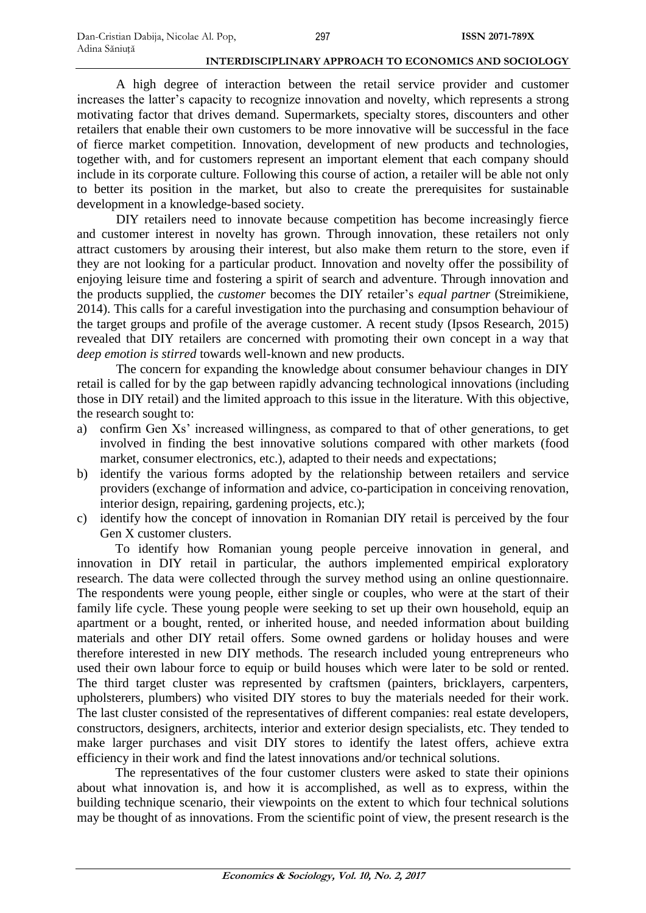A high degree of interaction between the retail service provider and customer increases the latter's capacity to recognize innovation and novelty, which represents a strong motivating factor that drives demand. Supermarkets, specialty stores, discounters and other retailers that enable their own customers to be more innovative will be successful in the face of fierce market competition. Innovation, development of new products and technologies, together with, and for customers represent an important element that each company should include in its corporate culture. Following this course of action, a retailer will be able not only to better its position in the market, but also to create the prerequisites for sustainable development in a knowledge-based society.

DIY retailers need to innovate because competition has become increasingly fierce and customer interest in novelty has grown. Through innovation, these retailers not only attract customers by arousing their interest, but also make them return to the store, even if they are not looking for a particular product. Innovation and novelty offer the possibility of enjoying leisure time and fostering a spirit of search and adventure. Through innovation and the products supplied, the *customer* becomes the DIY retailer's *equal partner* (Streimikiene, 2014). This calls for a careful investigation into the purchasing and consumption behaviour of the target groups and profile of the average customer. A recent study (Ipsos Research, 2015) revealed that DIY retailers are concerned with promoting their own concept in a way that *deep emotion is stirred* towards well-known and new products.

The concern for expanding the knowledge about consumer behaviour changes in DIY retail is called for by the gap between rapidly advancing technological innovations (including those in DIY retail) and the limited approach to this issue in the literature. With this objective, the research sought to:

- a) confirm Gen Xs' increased willingness, as compared to that of other generations, to get involved in finding the best innovative solutions compared with other markets (food market, consumer electronics, etc.), adapted to their needs and expectations;
- b) identify the various forms adopted by the relationship between retailers and service providers (exchange of information and advice, co-participation in conceiving renovation, interior design, repairing, gardening projects, etc.);
- c) identify how the concept of innovation in Romanian DIY retail is perceived by the four Gen X customer clusters.

To identify how Romanian young people perceive innovation in general, and innovation in DIY retail in particular, the authors implemented empirical exploratory research. The data were collected through the survey method using an online questionnaire. The respondents were young people, either single or couples, who were at the start of their family life cycle. These young people were seeking to set up their own household, equip an apartment or a bought, rented, or inherited house, and needed information about building materials and other DIY retail offers. Some owned gardens or holiday houses and were therefore interested in new DIY methods. The research included young entrepreneurs who used their own labour force to equip or build houses which were later to be sold or rented. The third target cluster was represented by craftsmen (painters, bricklayers, carpenters, upholsterers, plumbers) who visited DIY stores to buy the materials needed for their work. The last cluster consisted of the representatives of different companies: real estate developers, constructors, designers, architects, interior and exterior design specialists, etc. They tended to make larger purchases and visit DIY stores to identify the latest offers, achieve extra efficiency in their work and find the latest innovations and/or technical solutions.

The representatives of the four customer clusters were asked to state their opinions about what innovation is, and how it is accomplished, as well as to express, within the building technique scenario, their viewpoints on the extent to which four technical solutions may be thought of as innovations. From the scientific point of view, the present research is the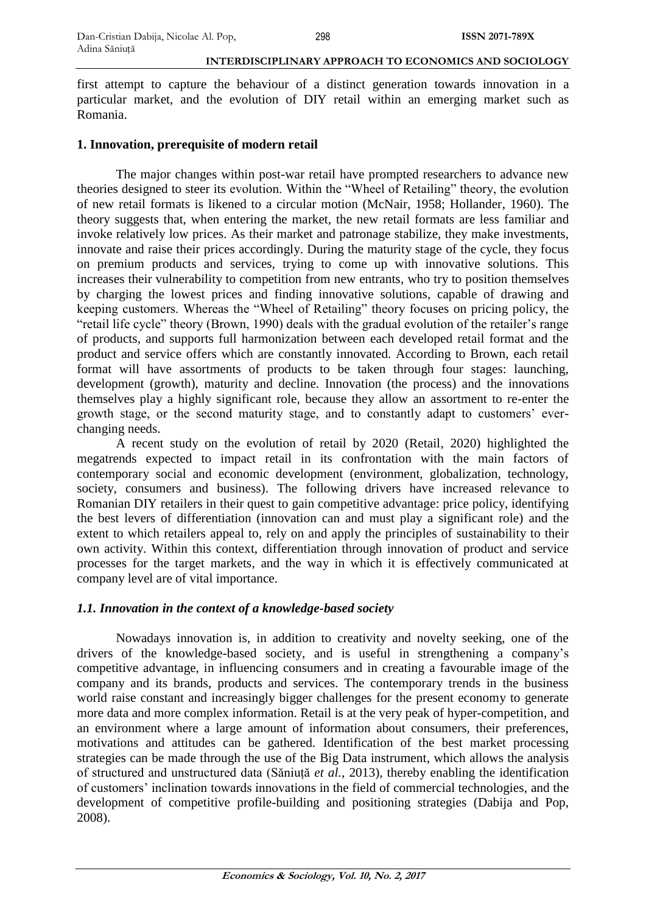first attempt to capture the behaviour of a distinct generation towards innovation in a particular market, and the evolution of DIY retail within an emerging market such as Romania.

## **1. Innovation, prerequisite of modern retail**

The major changes within post-war retail have prompted researchers to advance new theories designed to steer its evolution. Within the "Wheel of Retailing" theory, the evolution of new retail formats is likened to a circular motion (McNair, 1958; Hollander, 1960). The theory suggests that, when entering the market, the new retail formats are less familiar and invoke relatively low prices. As their market and patronage stabilize, they make investments, innovate and raise their prices accordingly. During the maturity stage of the cycle, they focus on premium products and services, trying to come up with innovative solutions. This increases their vulnerability to competition from new entrants, who try to position themselves by charging the lowest prices and finding innovative solutions, capable of drawing and keeping customers. Whereas the "Wheel of Retailing" theory focuses on pricing policy, the "retail life cycle" theory (Brown, 1990) deals with the gradual evolution of the retailer's range of products, and supports full harmonization between each developed retail format and the product and service offers which are constantly innovated. According to Brown, each retail format will have assortments of products to be taken through four stages: launching, development (growth), maturity and decline. Innovation (the process) and the innovations themselves play a highly significant role, because they allow an assortment to re-enter the growth stage, or the second maturity stage, and to constantly adapt to customers' everchanging needs.

A recent study on the evolution of retail by 2020 (Retail, 2020) highlighted the megatrends expected to impact retail in its confrontation with the main factors of contemporary social and economic development (environment, globalization, technology, society, consumers and business). The following drivers have increased relevance to Romanian DIY retailers in their quest to gain competitive advantage: price policy, identifying the best levers of differentiation (innovation can and must play a significant role) and the extent to which retailers appeal to, rely on and apply the principles of sustainability to their own activity. Within this context, differentiation through innovation of product and service processes for the target markets, and the way in which it is effectively communicated at company level are of vital importance.

## *1.1. Innovation in the context of a knowledge-based society*

Nowadays innovation is, in addition to creativity and novelty seeking, one of the drivers of the knowledge-based society, and is useful in strengthening a company's competitive advantage, in influencing consumers and in creating a favourable image of the company and its brands, products and services. The contemporary trends in the business world raise constant and increasingly bigger challenges for the present economy to generate more data and more complex information. Retail is at the very peak of hyper-competition, and an environment where a large amount of information about consumers, their preferences, motivations and attitudes can be gathered. Identification of the best market processing strategies can be made through the use of the Big Data instrument, which allows the analysis of structured and unstructured data (Săniuță *et al.*, 2013), thereby enabling the identification of customers' inclination towards innovations in the field of commercial technologies, and the development of competitive profile-building and positioning strategies (Dabija and Pop, 2008).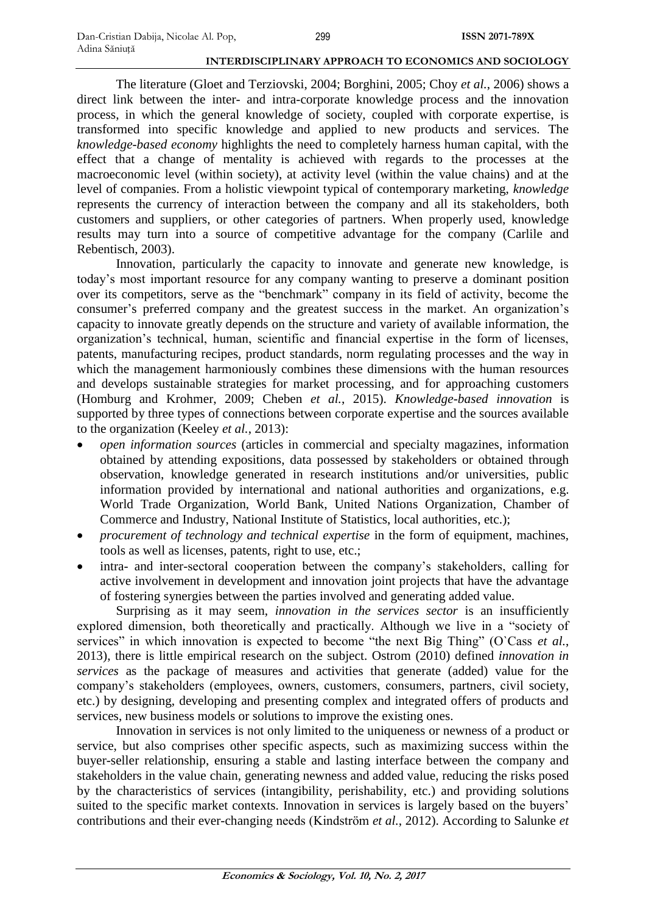The literature (Gloet and Terziovski, 2004; Borghini, 2005; Choy *et al.*, 2006) shows a direct link between the inter- and intra-corporate knowledge process and the innovation process, in which the general knowledge of society, coupled with corporate expertise, is transformed into specific knowledge and applied to new products and services. The *knowledge-based economy* highlights the need to completely harness human capital, with the effect that a change of mentality is achieved with regards to the processes at the macroeconomic level (within society), at activity level (within the value chains) and at the level of companies. From a holistic viewpoint typical of contemporary marketing, *knowledge*  represents the currency of interaction between the company and all its stakeholders, both customers and suppliers, or other categories of partners. When properly used, knowledge results may turn into a source of competitive advantage for the company (Carlile and Rebentisch, 2003).

Innovation, particularly the capacity to innovate and generate new knowledge, is today's most important resource for any company wanting to preserve a dominant position over its competitors, serve as the "benchmark" company in its field of activity, become the consumer's preferred company and the greatest success in the market. An organization's capacity to innovate greatly depends on the structure and variety of available information, the organization's technical, human, scientific and financial expertise in the form of licenses, patents, manufacturing recipes, product standards, norm regulating processes and the way in which the management harmoniously combines these dimensions with the human resources and develops sustainable strategies for market processing, and for approaching customers (Homburg and Krohmer, 2009; Cheben *et al.*, 2015). *Knowledge-based innovation* is supported by three types of connections between corporate expertise and the sources available to the organization (Keeley *et al.*, 2013):

- *open information sources* (articles in commercial and specialty magazines, information obtained by attending expositions, data possessed by stakeholders or obtained through observation, knowledge generated in research institutions and/or universities, public information provided by international and national authorities and organizations, e.g. World Trade Organization, World Bank, United Nations Organization, Chamber of Commerce and Industry, National Institute of Statistics, local authorities, etc.);
- *procurement of technology and technical expertise* in the form of equipment, machines, tools as well as licenses, patents, right to use, etc.;
- intra- and inter-sectoral cooperation between the company's stakeholders, calling for active involvement in development and innovation joint projects that have the advantage of fostering synergies between the parties involved and generating added value.

Surprising as it may seem, *innovation in the services sector* is an insufficiently explored dimension, both theoretically and practically. Although we live in a "society of services" in which innovation is expected to become "the next Big Thing" (O`Cass *et al.*, 2013), there is little empirical research on the subject. Ostrom (2010) defined *innovation in services* as the package of measures and activities that generate (added) value for the company's stakeholders (employees, owners, customers, consumers, partners, civil society, etc.) by designing, developing and presenting complex and integrated offers of products and services, new business models or solutions to improve the existing ones.

Innovation in services is not only limited to the uniqueness or newness of a product or service, but also comprises other specific aspects, such as maximizing success within the buyer-seller relationship, ensuring a stable and lasting interface between the company and stakeholders in the value chain, generating newness and added value, reducing the risks posed by the characteristics of services (intangibility, perishability, etc.) and providing solutions suited to the specific market contexts. Innovation in services is largely based on the buyers' contributions and their ever-changing needs (Kindström *et al.*, 2012). According to Salunke *et*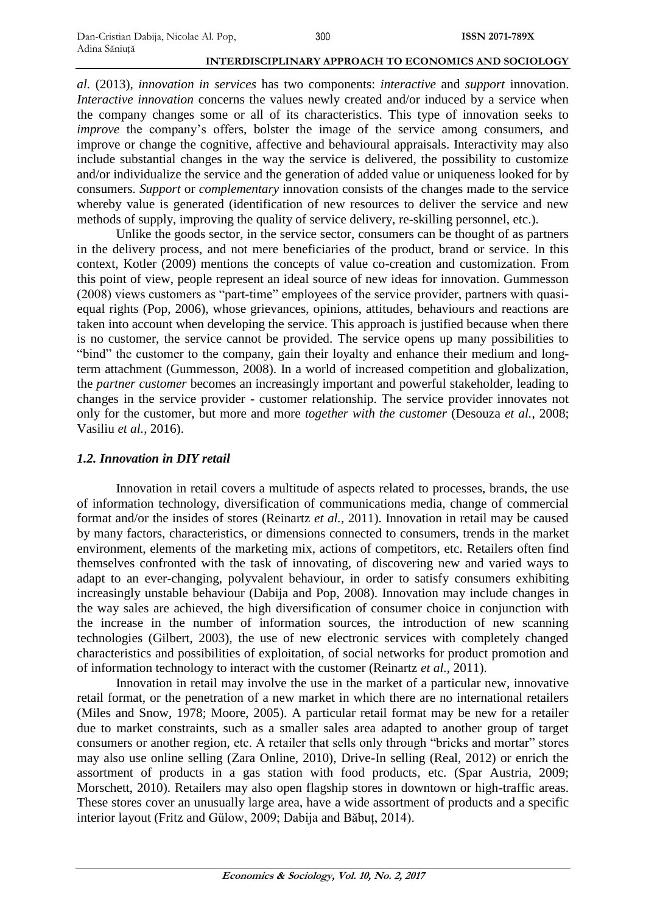*al.* (2013), *innovation in services* has two components: *interactive* and *support* innovation. *Interactive innovation* concerns the values newly created and/or induced by a service when the company changes some or all of its characteristics. This type of innovation seeks to *improve* the company's offers, bolster the image of the service among consumers, and improve or change the cognitive, affective and behavioural appraisals. Interactivity may also include substantial changes in the way the service is delivered, the possibility to customize and/or individualize the service and the generation of added value or uniqueness looked for by consumers. *Support* or *complementary* innovation consists of the changes made to the service whereby value is generated (identification of new resources to deliver the service and new methods of supply, improving the quality of service delivery, re-skilling personnel, etc.).

Unlike the goods sector, in the service sector, consumers can be thought of as partners in the delivery process, and not mere beneficiaries of the product, brand or service. In this context, Kotler (2009) mentions the concepts of value co-creation and customization. From this point of view, people represent an ideal source of new ideas for innovation. Gummesson (2008) views customers as "part-time" employees of the service provider, partners with quasiequal rights (Pop, 2006), whose grievances, opinions, attitudes, behaviours and reactions are taken into account when developing the service. This approach is justified because when there is no customer, the service cannot be provided. The service opens up many possibilities to "bind" the customer to the company, gain their loyalty and enhance their medium and longterm attachment (Gummesson, 2008). In a world of increased competition and globalization, the *partner customer* becomes an increasingly important and powerful stakeholder, leading to changes in the service provider - customer relationship. The service provider innovates not only for the customer, but more and more *together with the customer* (Desouza *et al.*, 2008; Vasiliu *et al.*, 2016).

## *1.2. Innovation in DIY retail*

Innovation in retail covers a multitude of aspects related to processes, brands, the use of information technology, diversification of communications media, change of commercial format and/or the insides of stores (Reinartz *et al.*, 2011). Innovation in retail may be caused by many factors, characteristics, or dimensions connected to consumers, trends in the market environment, elements of the marketing mix, actions of competitors, etc. Retailers often find themselves confronted with the task of innovating, of discovering new and varied ways to adapt to an ever-changing, polyvalent behaviour, in order to satisfy consumers exhibiting increasingly unstable behaviour (Dabija and Pop, 2008). Innovation may include changes in the way sales are achieved, the high diversification of consumer choice in conjunction with the increase in the number of information sources, the introduction of new scanning technologies (Gilbert, 2003), the use of new electronic services with completely changed characteristics and possibilities of exploitation, of social networks for product promotion and of information technology to interact with the customer (Reinartz *et al.*, 2011).

Innovation in retail may involve the use in the market of a particular new, innovative retail format, or the penetration of a new market in which there are no international retailers (Miles and Snow, 1978; Moore, 2005). A particular retail format may be new for a retailer due to market constraints, such as a smaller sales area adapted to another group of target consumers or another region, etc. A retailer that sells only through "bricks and mortar" stores may also use online selling (Zara Online, 2010), Drive-In selling (Real, 2012) or enrich the assortment of products in a gas station with food products, etc. (Spar Austria, 2009; Morschett, 2010). Retailers may also open flagship stores in downtown or high-traffic areas. These stores cover an unusually large area, have a wide assortment of products and a specific interior layout (Fritz and Gülow, 2009; Dabija and Băbuț, 2014).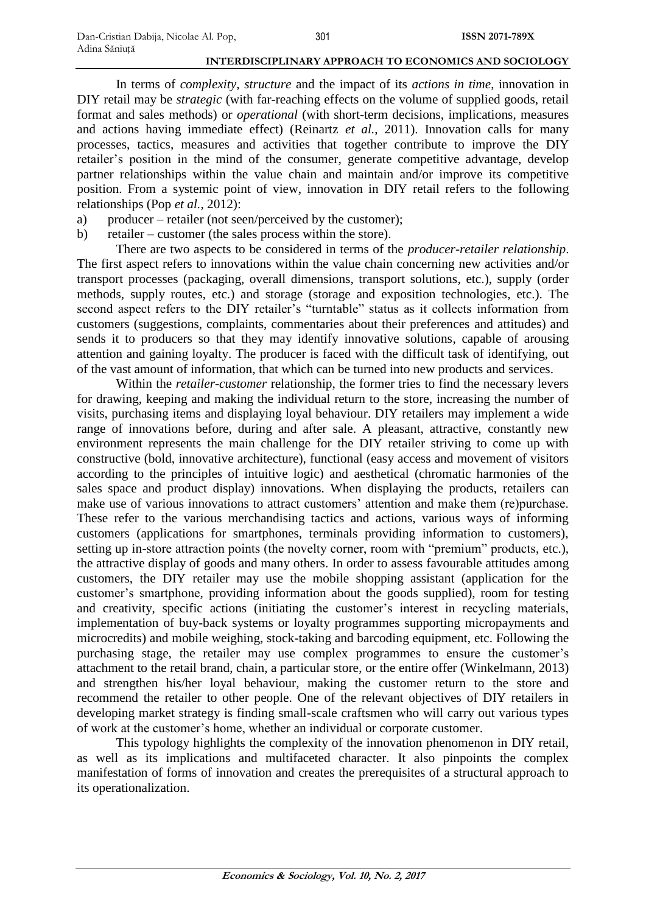In terms of *complexity*, *structure* and the impact of its *actions in time*, innovation in DIY retail may be *strategic* (with far-reaching effects on the volume of supplied goods, retail format and sales methods) or *operational* (with short-term decisions, implications, measures and actions having immediate effect) (Reinartz *et al.*, 2011). Innovation calls for many processes, tactics, measures and activities that together contribute to improve the DIY retailer's position in the mind of the consumer, generate competitive advantage, develop partner relationships within the value chain and maintain and/or improve its competitive position. From a systemic point of view, innovation in DIY retail refers to the following relationships (Pop *et al.*, 2012):

- a) producer retailer (not seen/perceived by the customer);
- b) retailer customer (the sales process within the store).

There are two aspects to be considered in terms of the *producer-retailer relationship*. The first aspect refers to innovations within the value chain concerning new activities and/or transport processes (packaging, overall dimensions, transport solutions, etc.), supply (order methods, supply routes, etc.) and storage (storage and exposition technologies, etc.). The second aspect refers to the DIY retailer's "turntable" status as it collects information from customers (suggestions, complaints, commentaries about their preferences and attitudes) and sends it to producers so that they may identify innovative solutions, capable of arousing attention and gaining loyalty. The producer is faced with the difficult task of identifying, out of the vast amount of information, that which can be turned into new products and services.

Within the *retailer-customer* relationship, the former tries to find the necessary levers for drawing, keeping and making the individual return to the store, increasing the number of visits, purchasing items and displaying loyal behaviour. DIY retailers may implement a wide range of innovations before, during and after sale. A pleasant, attractive, constantly new environment represents the main challenge for the DIY retailer striving to come up with constructive (bold, innovative architecture), functional (easy access and movement of visitors according to the principles of intuitive logic) and aesthetical (chromatic harmonies of the sales space and product display) innovations. When displaying the products, retailers can make use of various innovations to attract customers' attention and make them (re)purchase. These refer to the various merchandising tactics and actions, various ways of informing customers (applications for smartphones, terminals providing information to customers), setting up in-store attraction points (the novelty corner, room with "premium" products, etc.), the attractive display of goods and many others. In order to assess favourable attitudes among customers, the DIY retailer may use the mobile shopping assistant (application for the customer's smartphone, providing information about the goods supplied), room for testing and creativity, specific actions (initiating the customer's interest in recycling materials, implementation of buy-back systems or loyalty programmes supporting micropayments and microcredits) and mobile weighing, stock-taking and barcoding equipment, etc. Following the purchasing stage, the retailer may use complex programmes to ensure the customer's attachment to the retail brand, chain, a particular store, or the entire offer (Winkelmann, 2013) and strengthen his/her loyal behaviour, making the customer return to the store and recommend the retailer to other people. One of the relevant objectives of DIY retailers in developing market strategy is finding small-scale craftsmen who will carry out various types of work at the customer's home, whether an individual or corporate customer.

This typology highlights the complexity of the innovation phenomenon in DIY retail, as well as its implications and multifaceted character. It also pinpoints the complex manifestation of forms of innovation and creates the prerequisites of a structural approach to its operationalization.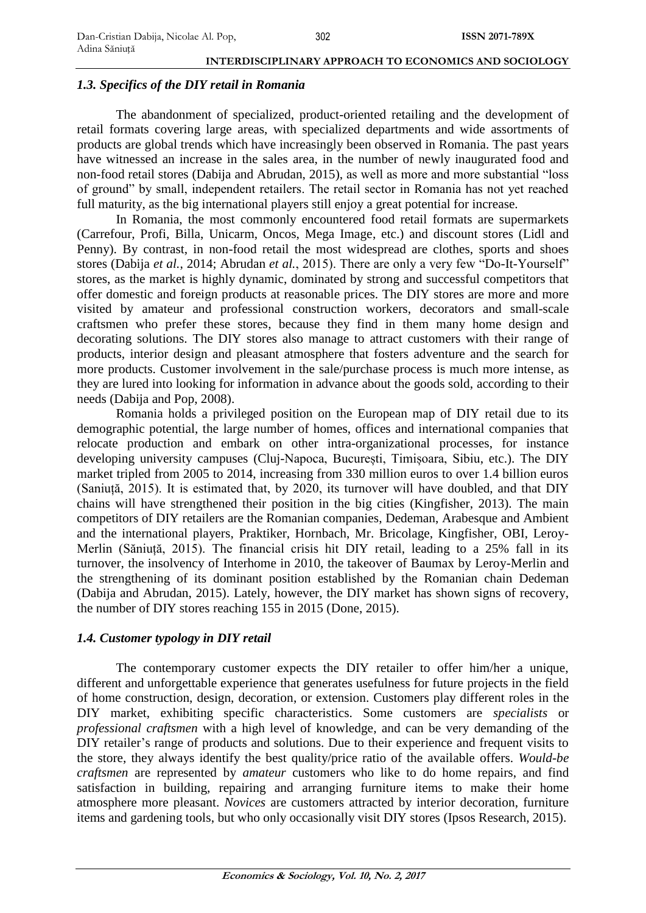## *1.3. Specifics of the DIY retail in Romania*

The abandonment of specialized, product-oriented retailing and the development of retail formats covering large areas, with specialized departments and wide assortments of products are global trends which have increasingly been observed in Romania. The past years have witnessed an increase in the sales area, in the number of newly inaugurated food and non-food retail stores (Dabija and Abrudan, 2015), as well as more and more substantial "loss of ground" by small, independent retailers. The retail sector in Romania has not yet reached full maturity, as the big international players still enjoy a great potential for increase.

In Romania, the most commonly encountered food retail formats are supermarkets (Carrefour, Profi, Billa, Unicarm, Oncos, Mega Image, etc.) and discount stores (Lidl and Penny). By contrast, in non-food retail the most widespread are clothes, sports and shoes stores (Dabija *et al.*, 2014; Abrudan *et al.*, 2015). There are only a very few "Do-It-Yourself" stores, as the market is highly dynamic, dominated by strong and successful competitors that offer domestic and foreign products at reasonable prices. The DIY stores are more and more visited by amateur and professional construction workers, decorators and small-scale craftsmen who prefer these stores, because they find in them many home design and decorating solutions. The DIY stores also manage to attract customers with their range of products, interior design and pleasant atmosphere that fosters adventure and the search for more products. Customer involvement in the sale/purchase process is much more intense, as they are lured into looking for information in advance about the goods sold, according to their needs (Dabija and Pop, 2008).

Romania holds a privileged position on the European map of DIY retail due to its demographic potential, the large number of homes, offices and international companies that relocate production and embark on other intra-organizational processes, for instance developing university campuses (Cluj-Napoca, București, Timișoara, Sibiu, etc.). The DIY market tripled from 2005 to 2014, increasing from 330 million euros to over 1.4 billion euros (Saniuță, 2015). It is estimated that, by 2020, its turnover will have doubled, and that DIY chains will have strengthened their position in the big cities (Kingfisher, 2013). The main competitors of DIY retailers are the Romanian companies, Dedeman, Arabesque and Ambient and the international players, Praktiker, Hornbach, Mr. Bricolage, Kingfisher, OBI, Leroy-Merlin (Săniuță, 2015). The financial crisis hit DIY retail, leading to a 25% fall in its turnover, the insolvency of Interhome in 2010, the takeover of Baumax by Leroy-Merlin and the strengthening of its dominant position established by the Romanian chain Dedeman (Dabija and Abrudan, 2015). Lately, however, the DIY market has shown signs of recovery, the number of DIY stores reaching 155 in 2015 (Done, 2015).

## *1.4. Customer typology in DIY retail*

The contemporary customer expects the DIY retailer to offer him/her a unique, different and unforgettable experience that generates usefulness for future projects in the field of home construction, design, decoration, or extension. Customers play different roles in the DIY market, exhibiting specific characteristics. Some customers are *specialists* or *professional craftsmen* with a high level of knowledge, and can be very demanding of the DIY retailer's range of products and solutions. Due to their experience and frequent visits to the store, they always identify the best quality/price ratio of the available offers. *Would-be craftsmen* are represented by *amateur* customers who like to do home repairs, and find satisfaction in building, repairing and arranging furniture items to make their home atmosphere more pleasant. *Novices* are customers attracted by interior decoration, furniture items and gardening tools, but who only occasionally visit DIY stores (Ipsos Research, 2015).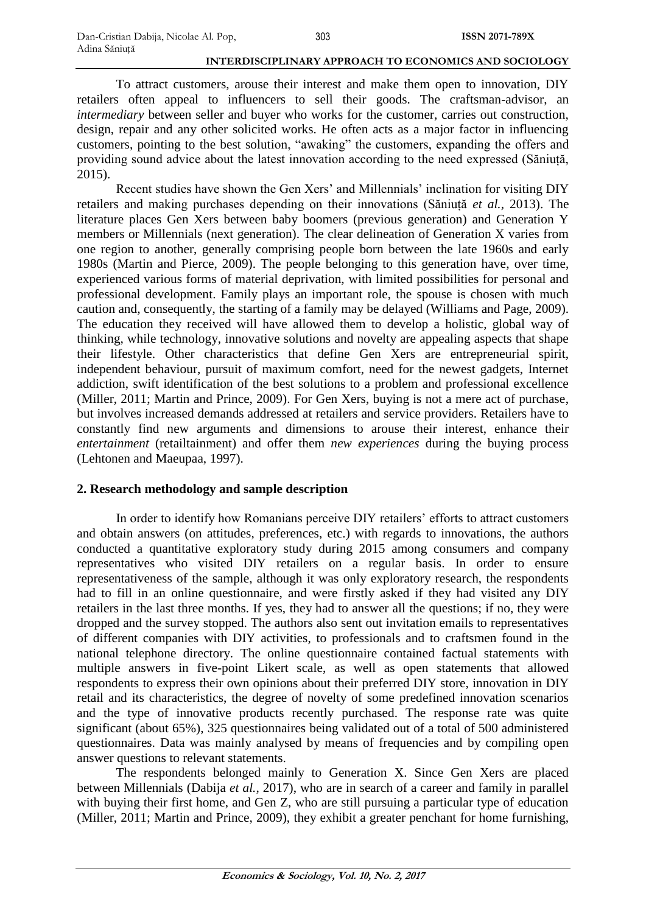To attract customers, arouse their interest and make them open to innovation, DIY retailers often appeal to influencers to sell their goods. The craftsman-advisor, an *intermediary* between seller and buyer who works for the customer, carries out construction, design, repair and any other solicited works. He often acts as a major factor in influencing customers, pointing to the best solution, "awaking" the customers, expanding the offers and providing sound advice about the latest innovation according to the need expressed (Săniuță, 2015).

Recent studies have shown the Gen Xers' and Millennials' inclination for visiting DIY retailers and making purchases depending on their innovations (Săniuță *et al.,* 2013). The literature places Gen Xers between baby boomers (previous generation) and Generation Y members or Millennials (next generation). The clear delineation of Generation X varies from one region to another, generally comprising people born between the late 1960s and early 1980s (Martin and Pierce, 2009). The people belonging to this generation have, over time, experienced various forms of material deprivation, with limited possibilities for personal and professional development. Family plays an important role, the spouse is chosen with much caution and, consequently, the starting of a family may be delayed (Williams and Page, 2009). The education they received will have allowed them to develop a holistic, global way of thinking, while technology, innovative solutions and novelty are appealing aspects that shape their lifestyle. Other characteristics that define Gen Xers are entrepreneurial spirit, independent behaviour, pursuit of maximum comfort, need for the newest gadgets, Internet addiction, swift identification of the best solutions to a problem and professional excellence (Miller, 2011; Martin and Prince, 2009). For Gen Xers, buying is not a mere act of purchase, but involves increased demands addressed at retailers and service providers. Retailers have to constantly find new arguments and dimensions to arouse their interest, enhance their *entertainment* (retailtainment) and offer them *new experiences* during the buying process (Lehtonen and Maeupaa, 1997).

## **2. Research methodology and sample description**

In order to identify how Romanians perceive DIY retailers' efforts to attract customers and obtain answers (on attitudes, preferences, etc.) with regards to innovations, the authors conducted a quantitative exploratory study during 2015 among consumers and company representatives who visited DIY retailers on a regular basis. In order to ensure representativeness of the sample, although it was only exploratory research, the respondents had to fill in an online questionnaire, and were firstly asked if they had visited any DIY retailers in the last three months. If yes, they had to answer all the questions; if no, they were dropped and the survey stopped. The authors also sent out invitation emails to representatives of different companies with DIY activities, to professionals and to craftsmen found in the national telephone directory. The online questionnaire contained factual statements with multiple answers in five-point Likert scale, as well as open statements that allowed respondents to express their own opinions about their preferred DIY store, innovation in DIY retail and its characteristics, the degree of novelty of some predefined innovation scenarios and the type of innovative products recently purchased. The response rate was quite significant (about 65%), 325 questionnaires being validated out of a total of 500 administered questionnaires. Data was mainly analysed by means of frequencies and by compiling open answer questions to relevant statements.

The respondents belonged mainly to Generation X. Since Gen Xers are placed between Millennials (Dabija *et al.*, 2017), who are in search of a career and family in parallel with buying their first home, and Gen Z, who are still pursuing a particular type of education (Miller, 2011; Martin and Prince, 2009), they exhibit a greater penchant for home furnishing,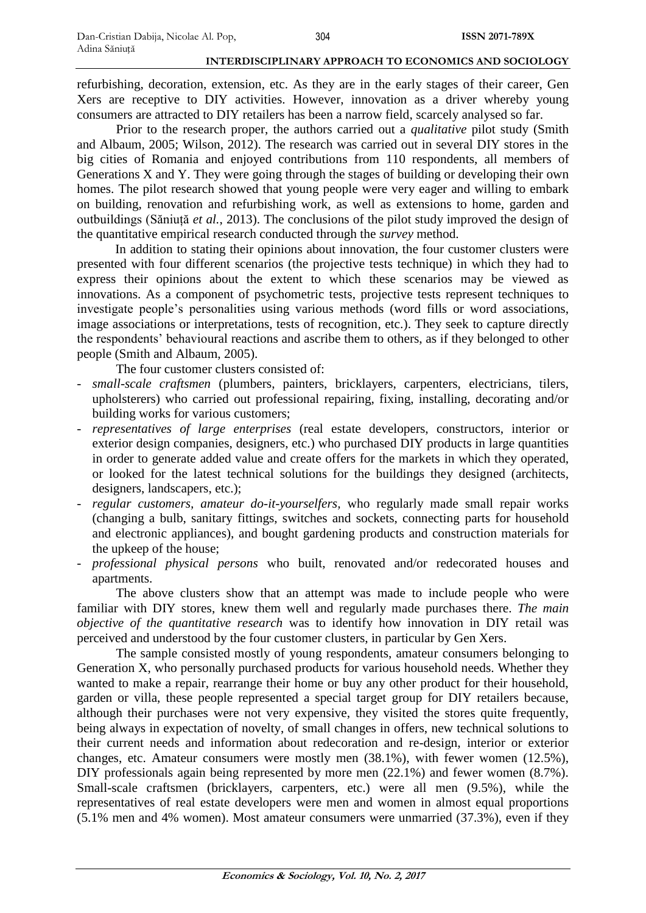refurbishing, decoration, extension, etc. As they are in the early stages of their career, Gen Xers are receptive to DIY activities. However, innovation as a driver whereby young consumers are attracted to DIY retailers has been a narrow field, scarcely analysed so far.

Prior to the research proper, the authors carried out a *qualitative* pilot study (Smith and Albaum, 2005; Wilson, 2012). The research was carried out in several DIY stores in the big cities of Romania and enjoyed contributions from 110 respondents, all members of Generations X and Y. They were going through the stages of building or developing their own homes. The pilot research showed that young people were very eager and willing to embark on building, renovation and refurbishing work, as well as extensions to home, garden and outbuildings (Săniuță *et al.*, 2013). The conclusions of the pilot study improved the design of the quantitative empirical research conducted through the *survey* method.

In addition to stating their opinions about innovation, the four customer clusters were presented with four different scenarios (the projective tests technique) in which they had to express their opinions about the extent to which these scenarios may be viewed as innovations. As a component of psychometric tests, projective tests represent techniques to investigate people's personalities using various methods (word fills or word associations, image associations or interpretations, tests of recognition, etc.). They seek to capture directly the respondents' behavioural reactions and ascribe them to others, as if they belonged to other people (Smith and Albaum, 2005).

The four customer clusters consisted of:

- *- small-scale craftsmen* (plumbers, painters, bricklayers, carpenters, electricians, tilers, upholsterers) who carried out professional repairing, fixing, installing, decorating and/or building works for various customers;
- *- representatives of large enterprises* (real estate developers, constructors, interior or exterior design companies, designers, etc.) who purchased DIY products in large quantities in order to generate added value and create offers for the markets in which they operated, or looked for the latest technical solutions for the buildings they designed (architects, designers, landscapers, etc.);
- *- regular customers, amateur do-it-yourselfers,* who regularly made small repair works (changing a bulb, sanitary fittings, switches and sockets, connecting parts for household and electronic appliances), and bought gardening products and construction materials for the upkeep of the house;
- *- professional physical persons* who built, renovated and/or redecorated houses and apartments.

The above clusters show that an attempt was made to include people who were familiar with DIY stores, knew them well and regularly made purchases there. *The main objective of the quantitative research* was to identify how innovation in DIY retail was perceived and understood by the four customer clusters, in particular by Gen Xers.

The sample consisted mostly of young respondents, amateur consumers belonging to Generation X, who personally purchased products for various household needs. Whether they wanted to make a repair, rearrange their home or buy any other product for their household, garden or villa, these people represented a special target group for DIY retailers because, although their purchases were not very expensive, they visited the stores quite frequently, being always in expectation of novelty, of small changes in offers, new technical solutions to their current needs and information about redecoration and re-design, interior or exterior changes, etc. Amateur consumers were mostly men (38.1%), with fewer women (12.5%), DIY professionals again being represented by more men (22.1%) and fewer women (8.7%). Small-scale craftsmen (bricklayers, carpenters, etc.) were all men (9.5%), while the representatives of real estate developers were men and women in almost equal proportions (5.1% men and 4% women). Most amateur consumers were unmarried (37.3%), even if they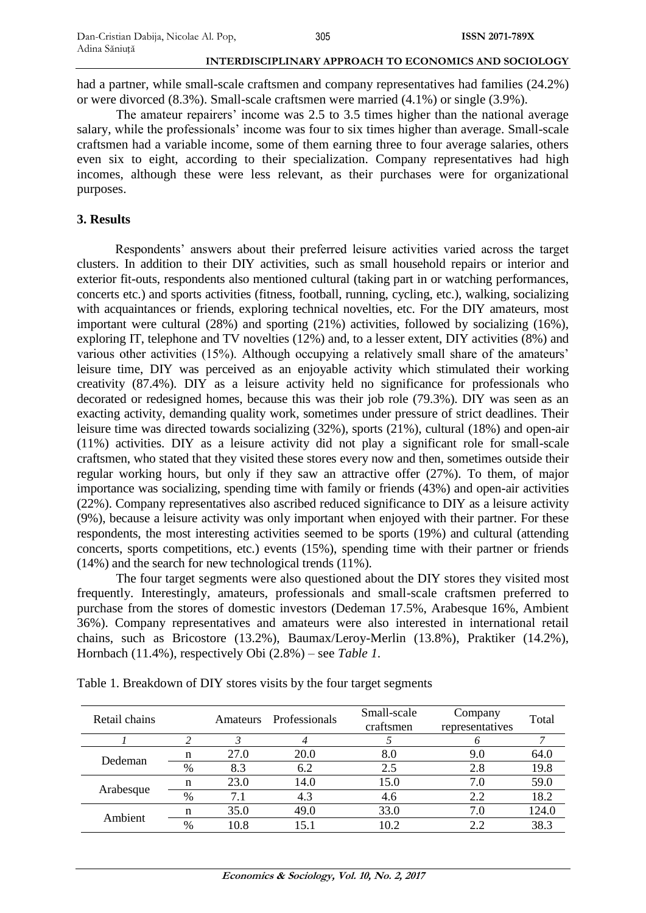had a partner, while small-scale craftsmen and company representatives had families (24.2%) or were divorced (8.3%). Small-scale craftsmen were married (4.1%) or single (3.9%).

The amateur repairers' income was 2.5 to 3.5 times higher than the national average salary, while the professionals' income was four to six times higher than average. Small-scale craftsmen had a variable income, some of them earning three to four average salaries, others even six to eight, according to their specialization. Company representatives had high incomes, although these were less relevant, as their purchases were for organizational purposes.

## **3. Results**

Respondents' answers about their preferred leisure activities varied across the target clusters. In addition to their DIY activities, such as small household repairs or interior and exterior fit-outs, respondents also mentioned cultural (taking part in or watching performances, concerts etc.) and sports activities (fitness, football, running, cycling, etc.), walking, socializing with acquaintances or friends, exploring technical novelties, etc. For the DIY amateurs, most important were cultural (28%) and sporting (21%) activities, followed by socializing (16%), exploring IT, telephone and TV novelties (12%) and, to a lesser extent, DIY activities (8%) and various other activities (15%). Although occupying a relatively small share of the amateurs' leisure time, DIY was perceived as an enjoyable activity which stimulated their working creativity (87.4%). DIY as a leisure activity held no significance for professionals who decorated or redesigned homes, because this was their job role (79.3%). DIY was seen as an exacting activity, demanding quality work, sometimes under pressure of strict deadlines. Their leisure time was directed towards socializing (32%), sports (21%), cultural (18%) and open-air (11%) activities. DIY as a leisure activity did not play a significant role for small-scale craftsmen, who stated that they visited these stores every now and then, sometimes outside their regular working hours, but only if they saw an attractive offer (27%). To them, of major importance was socializing, spending time with family or friends (43%) and open-air activities (22%). Company representatives also ascribed reduced significance to DIY as a leisure activity (9%), because a leisure activity was only important when enjoyed with their partner. For these respondents, the most interesting activities seemed to be sports (19%) and cultural (attending concerts, sports competitions, etc.) events (15%), spending time with their partner or friends (14%) and the search for new technological trends (11%).

The four target segments were also questioned about the DIY stores they visited most frequently. Interestingly, amateurs, professionals and small-scale craftsmen preferred to purchase from the stores of domestic investors (Dedeman 17.5%, Arabesque 16%, Ambient 36%). Company representatives and amateurs were also interested in international retail chains, such as Bricostore (13.2%), Baumax/Leroy-Merlin (13.8%), Praktiker (14.2%), Hornbach (11.4%), respectively Obi (2.8%) – see *Table 1*.

| Retail chains |      | Amateurs | Professionals  | Small-scale<br>craftsmen | Company<br>representatives | Total |
|---------------|------|----------|----------------|--------------------------|----------------------------|-------|
|               |      |          |                |                          |                            |       |
| Dedeman       |      | 27.0     | 20.0           | 8.0                      | 9.0                        | 64.0  |
|               | $\%$ | 8.3      | 6.2            | 2.5                      | 2.8                        | 19.8  |
| Arabesque     |      | 23.0     | 14.0           | 15.0                     | 7.0                        | 59.0  |
|               | %    | 7.1      | 4.3            | 4.6                      | 2.2                        | 18.2  |
| Ambient       |      | 35.0     | 49.0           | 33.0                     |                            | 124.0 |
|               | $\%$ | 10.8     | $\overline{5}$ | $\overline{0}$ 2         |                            | 38.3  |

Table 1. Breakdown of DIY stores visits by the four target segments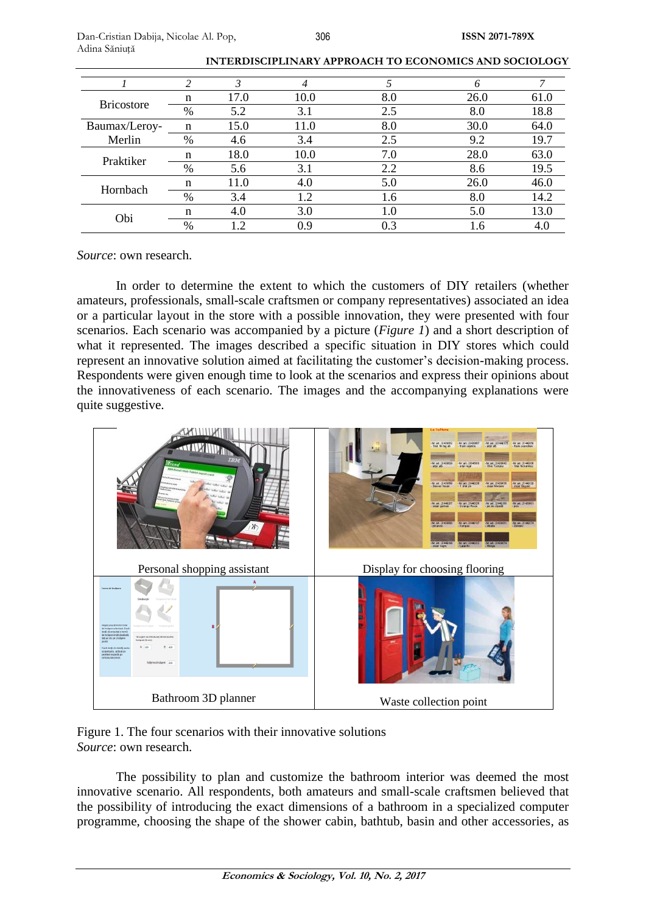|                   | ∍    | 3              | 4    |     |      |      |
|-------------------|------|----------------|------|-----|------|------|
| <b>Bricostore</b> | n    | 17.0           | 10.0 | 8.0 | 26.0 | 61.0 |
|                   | $\%$ | 5.2            | 3.1  | 2.5 | 8.0  | 18.8 |
| Baumax/Leroy-     | n    | 15.0           | 11.0 | 8.0 | 30.0 | 64.0 |
| Merlin            | $\%$ | 4.6            | 3.4  | 2.5 | 9.2  | 19.7 |
| Praktiker         | n    | 18.0           | 10.0 | 7.0 | 28.0 | 63.0 |
|                   | $\%$ | 5.6            | 3.1  | 2.2 | 8.6  | 19.5 |
| Hornbach          | n    | 11.0           | 4.0  | 5.0 | 26.0 | 46.0 |
|                   | $\%$ | 3.4            | 1.2  | 1.6 | 8.0  | 14.2 |
| Obi               | n    | 4.0            | 3.0  | 1.0 | 5.0  | 13.0 |
|                   | $\%$ | $\overline{2}$ | 0.9  | 0.3 | 1.6  | 4.0  |

| INTERDISCIPLINARY APPROACH TO ECONOMICS AND SOCIOLOGY |
|-------------------------------------------------------|
|-------------------------------------------------------|

*Source*: own research.

In order to determine the extent to which the customers of DIY retailers (whether amateurs, professionals, small-scale craftsmen or company representatives) associated an idea or a particular layout in the store with a possible innovation, they were presented with four scenarios. Each scenario was accompanied by a picture (*Figure 1*) and a short description of what it represented. The images described a specific situation in DIY stores which could represent an innovative solution aimed at facilitating the customer's decision-making process. Respondents were given enough time to look at the scenarios and express their opinions about the innovativeness of each scenario. The images and the accompanying explanations were quite suggestive.



Figure 1. The four scenarios with their innovative solutions *Source*: own research.

The possibility to plan and customize the bathroom interior was deemed the most innovative scenario. All respondents, both amateurs and small-scale craftsmen believed that the possibility of introducing the exact dimensions of a bathroom in a specialized computer programme, choosing the shape of the shower cabin, bathtub, basin and other accessories, as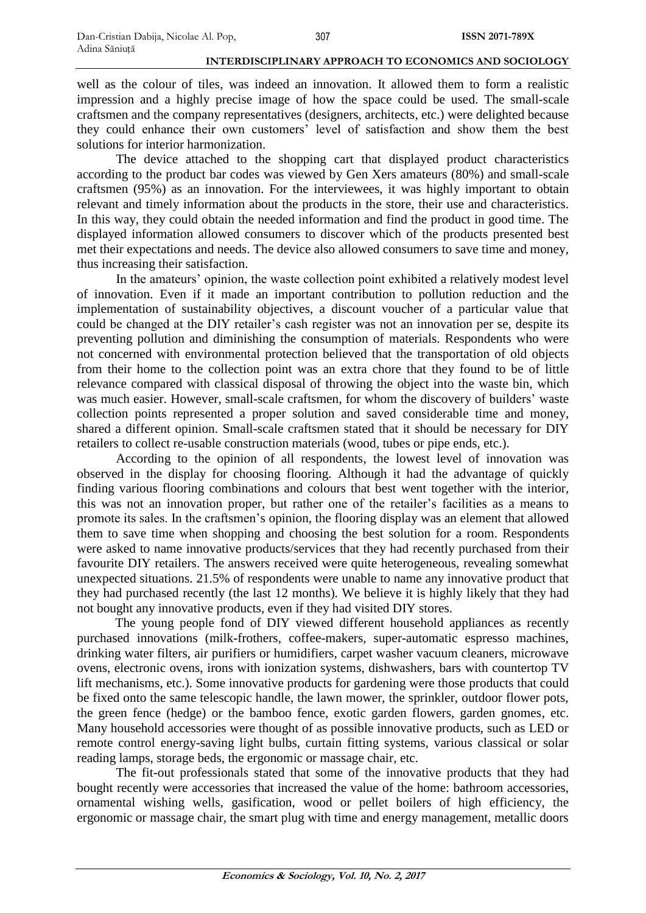well as the colour of tiles, was indeed an innovation. It allowed them to form a realistic impression and a highly precise image of how the space could be used. The small-scale craftsmen and the company representatives (designers, architects, etc.) were delighted because they could enhance their own customers' level of satisfaction and show them the best solutions for interior harmonization.

The device attached to the shopping cart that displayed product characteristics according to the product bar codes was viewed by Gen Xers amateurs (80%) and small-scale craftsmen (95%) as an innovation. For the interviewees, it was highly important to obtain relevant and timely information about the products in the store, their use and characteristics. In this way, they could obtain the needed information and find the product in good time. The displayed information allowed consumers to discover which of the products presented best met their expectations and needs. The device also allowed consumers to save time and money, thus increasing their satisfaction.

In the amateurs' opinion, the waste collection point exhibited a relatively modest level of innovation. Even if it made an important contribution to pollution reduction and the implementation of sustainability objectives, a discount voucher of a particular value that could be changed at the DIY retailer's cash register was not an innovation per se, despite its preventing pollution and diminishing the consumption of materials. Respondents who were not concerned with environmental protection believed that the transportation of old objects from their home to the collection point was an extra chore that they found to be of little relevance compared with classical disposal of throwing the object into the waste bin, which was much easier. However, small-scale craftsmen, for whom the discovery of builders' waste collection points represented a proper solution and saved considerable time and money, shared a different opinion. Small-scale craftsmen stated that it should be necessary for DIY retailers to collect re-usable construction materials (wood, tubes or pipe ends, etc.).

According to the opinion of all respondents, the lowest level of innovation was observed in the display for choosing flooring. Although it had the advantage of quickly finding various flooring combinations and colours that best went together with the interior, this was not an innovation proper, but rather one of the retailer's facilities as a means to promote its sales. In the craftsmen's opinion, the flooring display was an element that allowed them to save time when shopping and choosing the best solution for a room. Respondents were asked to name innovative products/services that they had recently purchased from their favourite DIY retailers. The answers received were quite heterogeneous, revealing somewhat unexpected situations. 21.5% of respondents were unable to name any innovative product that they had purchased recently (the last 12 months). We believe it is highly likely that they had not bought any innovative products, even if they had visited DIY stores.

The young people fond of DIY viewed different household appliances as recently purchased innovations (milk-frothers, coffee-makers, super-automatic espresso machines, drinking water filters, air purifiers or humidifiers, carpet washer vacuum cleaners, microwave ovens, electronic ovens, irons with ionization systems, dishwashers, bars with countertop TV lift mechanisms, etc.). Some innovative products for gardening were those products that could be fixed onto the same telescopic handle, the lawn mower, the sprinkler, outdoor flower pots, the green fence (hedge) or the bamboo fence, exotic garden flowers, garden gnomes, etc. Many household accessories were thought of as possible innovative products, such as LED or remote control energy-saving light bulbs, curtain fitting systems, various classical or solar reading lamps, storage beds, the ergonomic or massage chair, etc.

The fit-out professionals stated that some of the innovative products that they had bought recently were accessories that increased the value of the home: bathroom accessories, ornamental wishing wells, gasification, wood or pellet boilers of high efficiency, the ergonomic or massage chair, the smart plug with time and energy management, metallic doors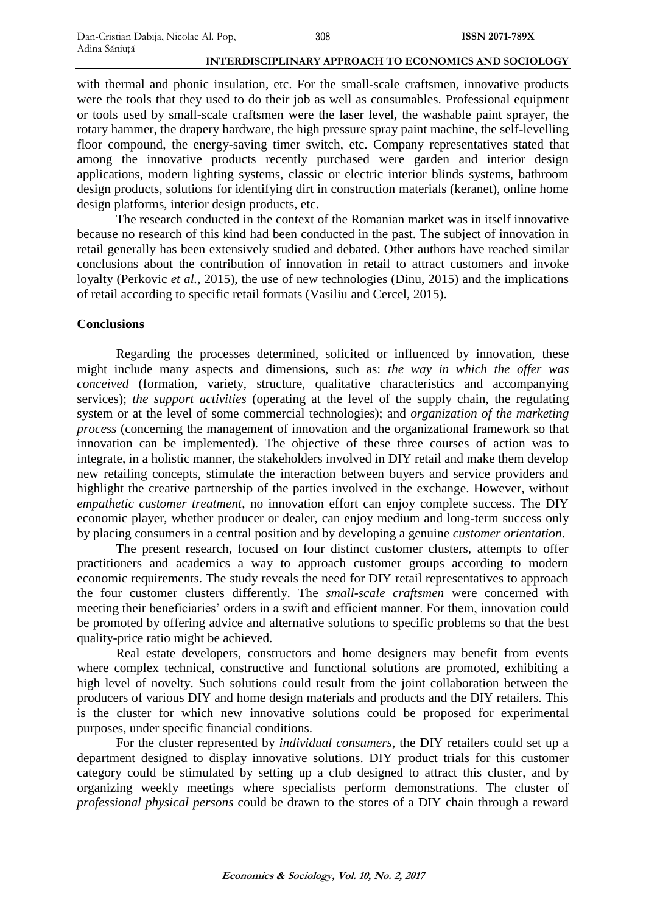with thermal and phonic insulation, etc. For the small-scale craftsmen, innovative products were the tools that they used to do their job as well as consumables. Professional equipment or tools used by small-scale craftsmen were the laser level, the washable paint sprayer, the rotary hammer, the drapery hardware, the high pressure spray paint machine, the self-levelling floor compound, the energy-saving timer switch, etc. Company representatives stated that among the innovative products recently purchased were garden and interior design applications, modern lighting systems, classic or electric interior blinds systems, bathroom design products, solutions for identifying dirt in construction materials (keranet), online home design platforms, interior design products, etc.

The research conducted in the context of the Romanian market was in itself innovative because no research of this kind had been conducted in the past. The subject of innovation in retail generally has been extensively studied and debated. Other authors have reached similar conclusions about the contribution of innovation in retail to attract customers and invoke loyalty (Perkovic *et al.*, 2015), the use of new technologies (Dinu, 2015) and the implications of retail according to specific retail formats (Vasiliu and Cercel, 2015).

## **Conclusions**

Regarding the processes determined, solicited or influenced by innovation, these might include many aspects and dimensions, such as: *the way in which the offer was conceived* (formation, variety, structure, qualitative characteristics and accompanying services); *the support activities* (operating at the level of the supply chain, the regulating system or at the level of some commercial technologies); and *organization of the marketing process* (concerning the management of innovation and the organizational framework so that innovation can be implemented). The objective of these three courses of action was to integrate, in a holistic manner, the stakeholders involved in DIY retail and make them develop new retailing concepts, stimulate the interaction between buyers and service providers and highlight the creative partnership of the parties involved in the exchange. However, without *empathetic customer treatment*, no innovation effort can enjoy complete success. The DIY economic player, whether producer or dealer, can enjoy medium and long-term success only by placing consumers in a central position and by developing a genuine *customer orientation*.

The present research, focused on four distinct customer clusters, attempts to offer practitioners and academics a way to approach customer groups according to modern economic requirements. The study reveals the need for DIY retail representatives to approach the four customer clusters differently. The *small-scale craftsmen* were concerned with meeting their beneficiaries' orders in a swift and efficient manner. For them, innovation could be promoted by offering advice and alternative solutions to specific problems so that the best quality-price ratio might be achieved.

Real estate developers, constructors and home designers may benefit from events where complex technical, constructive and functional solutions are promoted, exhibiting a high level of novelty. Such solutions could result from the joint collaboration between the producers of various DIY and home design materials and products and the DIY retailers. This is the cluster for which new innovative solutions could be proposed for experimental purposes, under specific financial conditions.

For the cluster represented by *individual consumers*, the DIY retailers could set up a department designed to display innovative solutions. DIY product trials for this customer category could be stimulated by setting up a club designed to attract this cluster, and by organizing weekly meetings where specialists perform demonstrations. The cluster of *professional physical persons* could be drawn to the stores of a DIY chain through a reward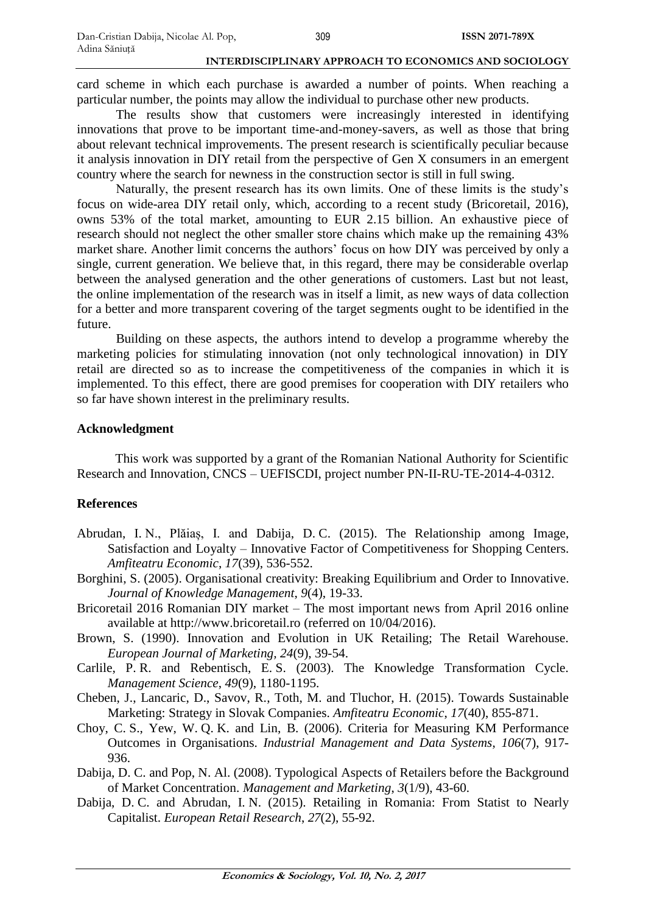card scheme in which each purchase is awarded a number of points. When reaching a particular number, the points may allow the individual to purchase other new products.

The results show that customers were increasingly interested in identifying innovations that prove to be important time-and-money-savers, as well as those that bring about relevant technical improvements. The present research is scientifically peculiar because it analysis innovation in DIY retail from the perspective of Gen X consumers in an emergent country where the search for newness in the construction sector is still in full swing.

Naturally, the present research has its own limits. One of these limits is the study's focus on wide-area DIY retail only, which, according to a recent study (Bricoretail, 2016), owns 53% of the total market, amounting to EUR 2.15 billion. An exhaustive piece of research should not neglect the other smaller store chains which make up the remaining 43% market share. Another limit concerns the authors' focus on how DIY was perceived by only a single, current generation. We believe that, in this regard, there may be considerable overlap between the analysed generation and the other generations of customers. Last but not least, the online implementation of the research was in itself a limit, as new ways of data collection for a better and more transparent covering of the target segments ought to be identified in the future.

Building on these aspects, the authors intend to develop a programme whereby the marketing policies for stimulating innovation (not only technological innovation) in DIY retail are directed so as to increase the competitiveness of the companies in which it is implemented. To this effect, there are good premises for cooperation with DIY retailers who so far have shown interest in the preliminary results.

## **Acknowledgment**

This work was supported by a grant of the Romanian National Authority for Scientific Research and Innovation, CNCS – UEFISCDI, project number PN-II-RU-TE-2014-4-0312.

## **References**

- Abrudan, I. N., Plăiaș, I. and Dabija, D. C. (2015). The Relationship among Image, Satisfaction and Loyalty – Innovative Factor of Competitiveness for Shopping Centers. *Amfiteatru Economic*, *17*(39), 536-552.
- Borghini, S. (2005). Organisational creativity: Breaking Equilibrium and Order to Innovative. *Journal of Knowledge Management*, *9*(4), 19-33.
- Bricoretail 2016 Romanian DIY market The most important news from April 2016 online available at [http://www.bricoretail.ro](http://www.bricoretail.ro/) (referred on 10/04/2016).
- Brown, S. (1990). Innovation and Evolution in UK Retailing; The Retail Warehouse. *European Journal of Marketing, 24*(9), 39-54.
- Carlile, P. R. and Rebentisch, E. S. (2003). The Knowledge Transformation Cycle. *Management Science*, *49*(9), 1180-1195.
- Cheben, J., Lancaric, D., Savov, R., Toth, M. and Tluchor, H. (2015). Towards Sustainable Marketing: Strategy in Slovak Companies. *Amfiteatru Economic*, *17*(40), 855-871.
- Choy, C. S., Yew, W. Q. K. and Lin, B. (2006). Criteria for Measuring KM Performance Outcomes in Organisations. *Industrial Management and Data Systems*, *106*(7), 917- 936.
- Dabija, D. C. and Pop, N. Al. (2008). Typological Aspects of Retailers before the Background of Market Concentration. *Management and Marketing*, *3*(1/9), 43-60.
- Dabija, D. C. and Abrudan, I. N. (2015). Retailing in Romania: From Statist to Nearly Capitalist. *European Retail Research*, *27*(2), 55-92.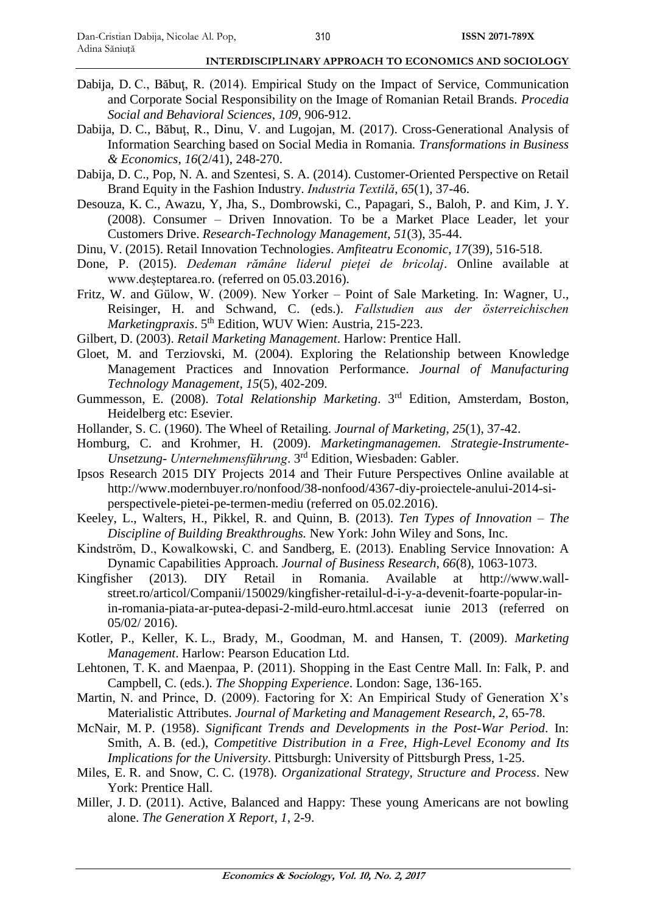- Dabija, D. C., Băbuţ, R. (2014). Empirical Study on the Impact of Service, Communication and Corporate Social Responsibility on the Image of Romanian Retail Brands. *Procedia Social and Behavioral Sciences*, *109*, 906-912.
- Dabija, D. C., Băbuţ, R., Dinu, V. and Lugojan, M. (2017). Cross-Generational Analysis of Information Searching based on Social Media in Romania*. Transformations in Business & Economics*, *16*(2/41), 248-270.
- Dabija, D. C., Pop, N. A. and Szentesi, S. A. (2014). Customer-Oriented Perspective on Retail Brand Equity in the Fashion Industry. *Industria Textilă*, *65*(1), 37-46.
- Desouza, K. C., Awazu, Y, Jha, S., Dombrowski, C., Papagari, S., Baloh, P. and Kim, J. Y. (2008). Consumer – Driven Innovation. To be a Market Place Leader, let your Customers Drive. *Research-Technology Management*, *51*(3), 35-44.
- Dinu, V. (2015). Retail Innovation Technologies. *Amfiteatru Economic*, *17*(39), 516-518.
- Done, P. (2015). *Dedeman rămâne liderul pieței de bricolaj*. Online available at [www.deșteptarea.ro.](http://www.deșteptarea.ro/) (referred on 05.03.2016).
- Fritz, W. and Gülow, W. (2009). New Yorker Point of Sale Marketing. In: Wagner, U., Reisinger, H. and Schwand, C. (eds.). *Fallstudien aus der österreichischen*  Marketingpraxis. 5<sup>th</sup> Edition, WUV Wien: Austria, 215-223.
- Gilbert, D. (2003). *Retail Marketing Management*. Harlow: Prentice Hall.
- Gloet, M. and Terziovski, M. (2004). Exploring the Relationship between Knowledge Management Practices and Innovation Performance. *Journal of Manufacturing Technology Management*, *15*(5), 402-209.
- Gummesson, E. (2008). *Total Relationship Marketing*. 3<sup>rd</sup> Edition, Amsterdam, Boston, Heidelberg etc: Esevier.
- Hollander, S. C. (1960). The Wheel of Retailing. *Journal of Marketing*, *25*(1), 37-42.
- Homburg, C. and Krohmer, H. (2009). *Marketingmanagemen. Strategie-Instrumente-Unsetzung- Unternehmensführung*. 3 rd Edition, Wiesbaden: Gabler.
- Ipsos Research 2015 DIY Projects 2014 and Their Future Perspectives Online available at [http://www.modernbuyer.ro/nonfood/38-nonfood/4367-diy-proiectele-anului-2014-si](http://www.modernbuyer.ro/nonfood/38-nonfood/4367-diy-proiectele-anului-2014-si-perspectivele-pietei-pe-termen-mediu)[perspectivele-pietei-pe-termen-mediu](http://www.modernbuyer.ro/nonfood/38-nonfood/4367-diy-proiectele-anului-2014-si-perspectivele-pietei-pe-termen-mediu) (referred on 05.02.2016).
- Keeley, L., Walters, H., Pikkel, R. and Quinn, B*.* (2013). *Ten Types of Innovation – The Discipline of Building Breakthroughs.* New York: John Wiley and Sons, Inc.
- Kindström, D., Kowalkowski, C. and Sandberg, E. (2013). Enabling Service Innovation: A Dynamic Capabilities Approach. *Journal of Business Research*, *66*(8), 1063-1073.
- Kingfisher (2013). DIY Retail in Romania. Available at [http://www.wall](http://www.wall-street.ro/articol/Companii/150029/kingfisher-retailul-d-i-y-a-devenit-foarte-popular-in-in-romania-piata-ar-putea-depasi-2-mild-euro.html.accesat%20iunie%202013)[street.ro/articol/Companii/150029/kingfisher-retailul-d-i-y-a-devenit-foarte-popular-in](http://www.wall-street.ro/articol/Companii/150029/kingfisher-retailul-d-i-y-a-devenit-foarte-popular-in-in-romania-piata-ar-putea-depasi-2-mild-euro.html.accesat%20iunie%202013)[in-romania-piata-ar-putea-depasi-2-mild-euro.html.accesat iunie 2013](http://www.wall-street.ro/articol/Companii/150029/kingfisher-retailul-d-i-y-a-devenit-foarte-popular-in-in-romania-piata-ar-putea-depasi-2-mild-euro.html.accesat%20iunie%202013) (referred on 05/02/ 2016).
- Kotler, P., Keller, K. L., Brady, M., Goodman, M. and Hansen, T. (2009). *Marketing Management*. Harlow: Pearson Education Ltd.
- Lehtonen, T. K. and Maenpaa, P. (2011). Shopping in the East Centre Mall. In: Falk, P. and Campbell, C. (eds.). *The Shopping Experience*. London: Sage, 136-165.
- Martin, N. and Prince, D. (2009). Factoring for X: An Empirical Study of Generation  $X$ 's Materialistic Attributes. *Journal of Marketing and Management Research*, *2*, 65-78.
- McNair, M. P. (1958). *Significant Trends and Developments in the Post-War Period*. In: Smith, A. B. (ed.), *Competitive Distribution in a Free, High-Level Economy and Its Implications for the University*. Pittsburgh: University of Pittsburgh Press, 1-25.
- Miles, E. R. and Snow, C. C. (1978). *Organizational Strategy, Structure and Process*. New York: Prentice Hall.
- Miller, J. D. (2011). Active, Balanced and Happy: These young Americans are not bowling alone. *The Generation X Report*, *1*, 2-9.